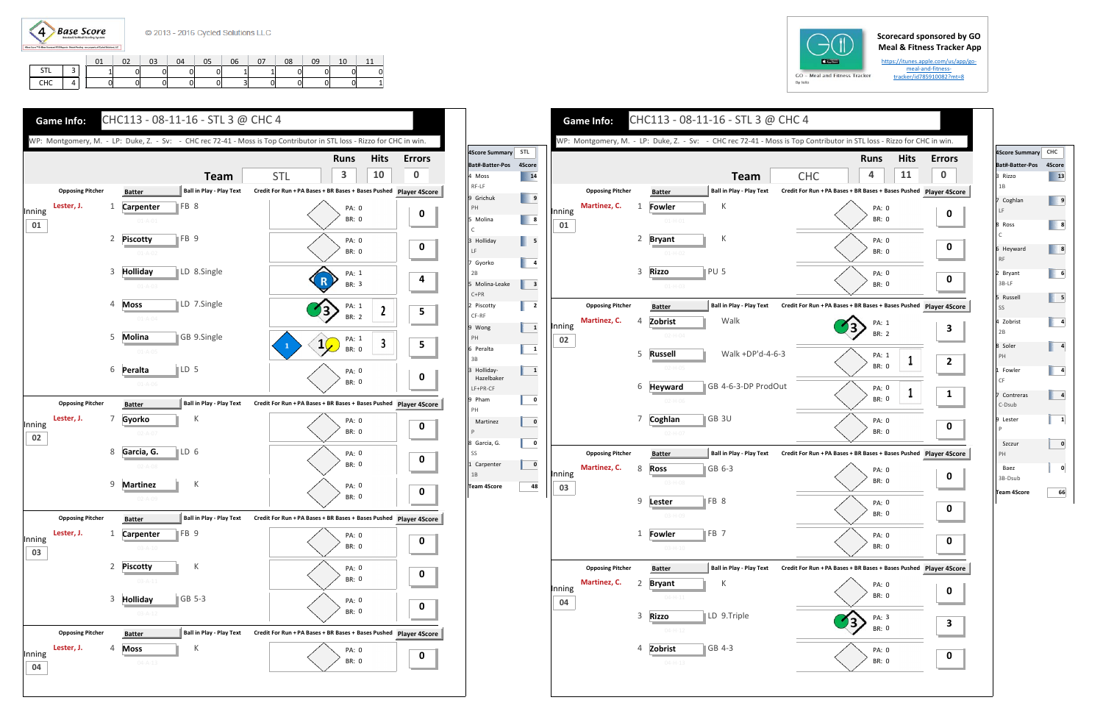

## **Scorecard sponsored by GO Meal & Fitness Tracker App**

https://itunes.apple.com/us/app/go‐ meal-and-fitnesstracker/id785910082?mt=8

|             |       | $\sim$<br>∪⊥ | $\sim$<br>UZ | 03 | 04 | 05 | 06 | 07 | 08 | 09 | 10 |   |
|-------------|-------|--------------|--------------|----|----|----|----|----|----|----|----|---|
| CTI<br>31 L | -<br> |              |              | 0  | 0  |    |    |    |    | Ol | 01 | ۵ |
| <b>CHC</b>  |       | 01           |              | 0  | 0  |    | ັ  | 01 |    | ΟI | οI |   |



| STL          |        |                         |              |                                                  |                                                               |                       |             |
|--------------|--------|-------------------------|--------------|--------------------------------------------------|---------------------------------------------------------------|-----------------------|-------------|
| 4Score       |        |                         |              |                                                  |                                                               | <b>Runs</b>           | <b>Hits</b> |
| 14           |        |                         |              | <b>Team</b>                                      | <b>CHC</b>                                                    | 4                     | 11          |
| 9            |        | <b>Opposing Pitcher</b> |              | <b>Ball in Play - Play Text</b><br><b>Batter</b> | Credit For Run + PA Bases + BR Bases + Bases Pushed Player 49 |                       |             |
|              | Inning | Martinez, C.            | 1            | К<br>Fowler                                      |                                                               | PA: 0                 |             |
| 8            | 01     |                         |              | $01 - H - 01$                                    |                                                               | <b>BR: 0</b>          |             |
| 5            |        |                         | 2            | К<br><b>Bryant</b>                               |                                                               | PA: 0                 |             |
|              |        |                         |              | $01-H-02$                                        |                                                               | <b>BR: 0</b>          |             |
| 4            |        |                         | 3            | PU <sub>5</sub><br><b>Rizzo</b>                  |                                                               |                       |             |
| 3            |        |                         |              | $01-H-03$                                        |                                                               | PA: 0<br>BR: 0        |             |
|              |        |                         |              |                                                  |                                                               |                       |             |
| 2            |        | <b>Opposing Pitcher</b> |              | <b>Ball in Play - Play Text</b><br><b>Batter</b> | Credit For Run + PA Bases + BR Bases + Bases Pushed Player 49 |                       |             |
| $\mathbf{1}$ | Inning | Martinez, C.            | 4            | Zobrist<br>Walk                                  |                                                               | PA: 1                 |             |
|              | 02     |                         |              | $02-H-04$                                        |                                                               | BR: 2                 |             |
| 1            |        |                         | 5            | Walk +DP'd-4-6-3<br><b>Russell</b>               |                                                               | PA: 1                 |             |
| $\mathbf{1}$ |        |                         |              | $02-H-05$                                        |                                                               | <b>BR: 0</b>          | 1           |
|              |        |                         |              |                                                  |                                                               |                       |             |
|              |        |                         | 6            | GB 4-6-3-DP ProdOut<br><b>Heyward</b>            |                                                               | PA: 0<br><b>BR: 0</b> | 1           |
| 0            |        |                         |              | $02-H-06$                                        |                                                               |                       |             |
| 0            |        |                         | 7            | GB <sub>3U</sub><br>Coghlan                      |                                                               | PA: 0                 |             |
|              |        |                         |              | $02-H-07$                                        |                                                               | <b>BR: 0</b>          |             |
| 0            |        | <b>Opposing Pitcher</b> |              | <b>Ball in Play - Play Text</b><br><b>Batter</b> | Credit For Run + PA Bases + BR Bases + Bases Pushed Player 49 |                       |             |
| 0            |        | Martinez, C.            | 8            | <b>Ross</b><br>GB 6-3                            |                                                               | PA: 0                 |             |
|              | Inning |                         |              | 03-H-08                                          |                                                               | <b>BR: 0</b>          |             |
| 48           | 03     |                         | 9            | FB <sub>8</sub>                                  |                                                               |                       |             |
|              |        |                         |              | Lester<br>$03-H-09$                              |                                                               | PA: 0<br>BR: 0        |             |
|              |        |                         |              |                                                  |                                                               |                       |             |
|              |        |                         | $\mathbf{1}$ | FB <sub>7</sub><br><b>Fowler</b>                 |                                                               | PA: 0                 |             |
|              |        |                         |              | $03-H-10$                                        |                                                               | BR: 0                 |             |
|              |        | <b>Opposing Pitcher</b> |              | <b>Ball in Play - Play Text</b><br><b>Batter</b> | Credit For Run + PA Bases + BR Bases + Bases Pushed Player 4S |                       |             |
|              |        | Martinez, C.            | 2            | Κ<br><b>Bryant</b>                               |                                                               | PA: 0                 |             |
|              | Inning |                         |              | $04 - H - 11$                                    |                                                               | BR: 0                 |             |
|              | 04     |                         | 3            | LD 9.Triple<br><b>Rizzo</b>                      |                                                               |                       |             |
|              |        |                         |              | $04 - H - 12$                                    |                                                               | PA: 3<br>BR: 0        |             |
|              |        |                         |              |                                                  |                                                               |                       |             |
|              |        |                         | 4            | GB 4-3<br>Zobrist                                |                                                               | PA: 0                 |             |







| 4Score Summary CHC                                                             |    |
|--------------------------------------------------------------------------------|----|
| Bat#-Batter-Pos 4Score                                                         |    |
| 3 Rizzo<br>1B                                                                  | 13 |
| 7 Coghlan<br>LF                                                                | 9  |
| 8 Ross<br>C                                                                    | 8  |
| 6 Heyward<br><b>RF</b>                                                         | 8  |
| 2 Bryant<br>3B-LF                                                              | 6  |
| 5 Russell<br>SS                                                                | 5  |
| 4 Zobrist<br>2B                                                                | 4  |
| 8 Soler<br>PH                                                                  | 4  |
| 1 Fowler<br>CF                                                                 | 4  |
| 7 Contreras<br>C-Dsub                                                          | 4  |
| 9 Lester<br>$\mathsf{P}% _{\mathsf{P}}^{\text{A}}\left( \mathsf{P}_{0}\right)$ | 1  |
| Szczur<br>PH                                                                   | 0  |
| Baez<br>3B-Dsub                                                                | 0  |
| Team 4Score                                                                    | 66 |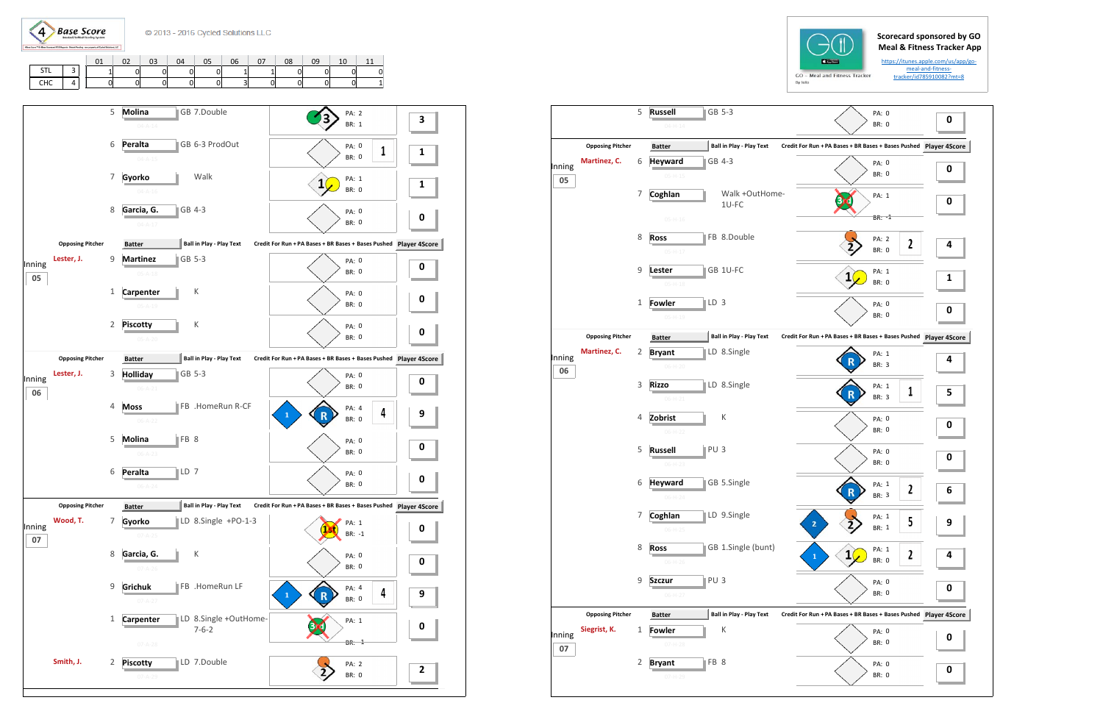$\left( 4\right)$ **Base Score** 

C 2013 - 2016 Cycled Solutions LLC

|                    |        | 01  | $\sim$<br>υz | 03 | 04 | 05 | 06           | 07 | 08 | 09 | 10 | --             |
|--------------------|--------|-----|--------------|----|----|----|--------------|----|----|----|----|----------------|
| CTI.<br><b>PIL</b> | -<br>ٮ | и I | Ol           | 0  | 0  | Οl |              |    |    | 0  | 0  | 0              |
| <b>CHC</b>         |        | Ol  | 0            |    | 0  | οI | $\sim$<br>C. | 0  |    | Ol | 0  | 1 <sup>1</sup> |





5 **Russell**

**I** ■ II GB 5-3

|              |                         |   | $04 - H - 14$                   |                                 |                   |
|--------------|-------------------------|---|---------------------------------|---------------------------------|-------------------|
|              | <b>Opposing Pitcher</b> |   | <b>Batter</b>                   | <b>Ball in Play - Play Text</b> | <b>Credit For</b> |
| Inning<br>05 | Martinez, C.            | 6 | <b>Heyward</b><br>$05 - H - 15$ | GB 4-3                          |                   |
|              |                         | 7 | Coghlan                         | Walk +OutHome-<br>1U-FC         |                   |
|              |                         |   | $05-H-16$                       |                                 |                   |
|              |                         | 8 | <b>Ross</b>                     | FB 8.Double                     |                   |
|              |                         |   | $05-H-17$                       |                                 |                   |
|              |                         | 9 | Lester<br>$05 - H - 18$         | GB 1U-FC                        |                   |
|              |                         | 1 | Fowler                          | LD <sub>3</sub>                 |                   |
|              |                         |   | $05 - H - 19$                   |                                 |                   |
|              | <b>Opposing Pitcher</b> |   | <b>Batter</b>                   | <b>Ball in Play - Play Text</b> | <b>Credit For</b> |
| Inning       | Martinez, C.            | 2 | <b>Bryant</b>                   | LD 8.Single                     |                   |
| 06           |                         |   | $06-H-20$                       |                                 |                   |
|              |                         | 3 | <b>Rizzo</b><br>$06 - H - 21$   | LD 8.Single                     |                   |
|              |                         | 4 | Zobrist                         | К                               |                   |
|              |                         |   | $06 - H - 22$                   |                                 |                   |
|              |                         | 5 | <b>Russell</b>                  | PU <sub>3</sub>                 |                   |
|              |                         |   | $06-H-23$                       |                                 |                   |
|              |                         | 6 | <b>Heyward</b><br>$06-H-24$     | GB 5.Single                     |                   |
|              |                         | 7 | Coghlan                         | LD 9.Single                     |                   |
|              |                         |   | $06-H-25$                       |                                 |                   |
|              |                         | 8 | <b>Ross</b><br>$06-H-26$        | GB 1.Single (bunt)              |                   |
|              |                         | 9 | Szczur                          | PU <sub>3</sub>                 |                   |
|              |                         |   | $06-H-27$                       |                                 |                   |
|              | <b>Opposing Pitcher</b> |   | <b>Batter</b>                   | <b>Ball in Play - Play Text</b> | <b>Credit For</b> |
| Inning       | Siegrist, K.            | 1 | Fowler<br>$07-H-28$             | Κ                               |                   |
| 07           |                         | 2 | <b>Bryant</b>                   | FB <sub>8</sub>                 |                   |
|              |                         |   | 07-H-29                         |                                 |                   |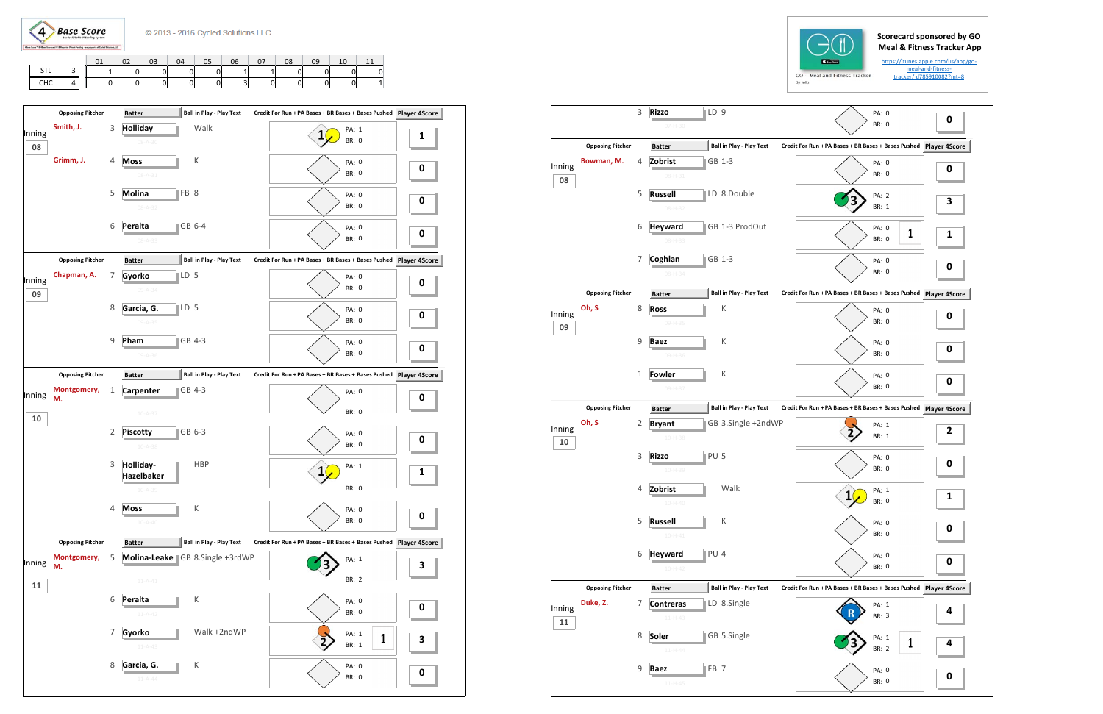**Base Score**  $\left( 4\right)$ 

## **Scorecard sponsored by GO Meal & Fitness Tracker App**

https://itunes.apple.com/us/app/go‐ meal-and-fitnesstracker/id785910082?mt=8

|                   |   | 01 | $\sim$<br>UZ | 03 | 04 | 05 | 06 | $\sim$ | 08 | 09 | 10 | -- |
|-------------------|---|----|--------------|----|----|----|----|--------|----|----|----|----|
| CTI<br><b>JIL</b> |   |    |              | 0  | 0  | 01 |    |        | 01 | Ol |    |    |
| CHC               | 4 | 0  |              |    | 0  | 0  | ັ  | 01     | 0  | 01 |    |    |

| <b>BR: 0</b><br>07-H-30<br><b>Ball in Play - Play Text</b><br><b>Opposing Pitcher</b><br>Credit For Run + PA Bases + BR Bases + Bases Pushed<br><b>Player 4S</b><br><b>Batter</b><br>Bowman, M.<br>Zobrist<br>GB 1-3<br>4<br>PA: 0<br>0<br><b>BR: 0</b><br>08-H-31<br>08<br>5<br>LD 8.Double<br><b>Russell</b><br>PA: 2<br>З<br>BR: 1<br>$08 - H - 32$<br>GB 1-3 ProdOut<br>6<br><b>Heyward</b><br>PA: 0<br>1<br><b>BR: 0</b><br>$08 - H - 33$<br>7<br>Coghlan<br>GB 1-3<br>PA: 0<br><b>BR: 0</b><br>$08 - H - 34$<br><b>Ball in Play - Play Text</b><br><b>Opposing Pitcher</b><br>Credit For Run + PA Bases + BR Bases + Bases Pushed Player 4S<br><b>Batter</b><br>Oh, S<br>8<br>К<br><b>Ross</b><br>PA: 0<br><b>BR: 0</b><br>09-H-35<br>09<br>9<br>К<br><b>Baez</b><br>PA: 0<br><b>BR: 0</b><br>09-H-36<br>$\mathbf{1}$<br>К<br>Fowler<br>PA: 0<br><b>BR: 0</b><br>09-H-37<br>Ball in Play - Play Text<br><b>Opposing Pitcher</b><br>Credit For Run + PA Bases + BR Bases + Bases Pushed Player 4S<br><b>Batter</b><br>Oh, S<br>GB 3.Single +2ndWP<br>2<br><b>Bryant</b><br>PA: 1<br>$\overline{\mathbf{c}}$<br>BR: 1<br>$10 - H - 38$<br>10<br>3<br>$PU$ 5<br><b>Rizzo</b><br>PA: 0<br>0<br><b>BR: 0</b><br>10-H-39<br>Walk<br>Zobrist<br>4<br>PA: 1<br>1<br><b>BR: 0</b><br>$10 - H - 40$<br>5<br><b>Russell</b><br>К<br>PA: 0<br>BR: 0<br>$10 - H - 41$<br><b>Heyward</b><br>PU 4<br>6<br>PA: 0<br>BR: 0<br>10-H-42<br>Ball in Play - Play Text<br><b>Opposing Pitcher</b><br>Credit For Run + PA Bases + BR Bases + Bases Pushed<br>Player 4S<br><b>Batter</b><br>Duke, Z.<br>7<br>LD 8.Single<br><b>Contreras</b><br>PA: 1<br>BR: 3<br>$11-H-43$<br>11<br>GB 5.Single<br>8<br>Soler<br>PA: 1<br>1<br>BR: 2<br>$11-H-44$<br>9<br>$\parallel$ FB 7<br><b>Baez</b><br>PA: 0<br>0<br>BR: 0<br>$11 - H - 45$ |        | 3 | $\parallel$ LD 9<br><b>Rizzo</b> | PA: 0 |   |
|------------------------------------------------------------------------------------------------------------------------------------------------------------------------------------------------------------------------------------------------------------------------------------------------------------------------------------------------------------------------------------------------------------------------------------------------------------------------------------------------------------------------------------------------------------------------------------------------------------------------------------------------------------------------------------------------------------------------------------------------------------------------------------------------------------------------------------------------------------------------------------------------------------------------------------------------------------------------------------------------------------------------------------------------------------------------------------------------------------------------------------------------------------------------------------------------------------------------------------------------------------------------------------------------------------------------------------------------------------------------------------------------------------------------------------------------------------------------------------------------------------------------------------------------------------------------------------------------------------------------------------------------------------------------------------------------------------------------------------------------------------------------------------------------------------------|--------|---|----------------------------------|-------|---|
|                                                                                                                                                                                                                                                                                                                                                                                                                                                                                                                                                                                                                                                                                                                                                                                                                                                                                                                                                                                                                                                                                                                                                                                                                                                                                                                                                                                                                                                                                                                                                                                                                                                                                                                                                                                                                  |        |   |                                  |       | 0 |
| Inning                                                                                                                                                                                                                                                                                                                                                                                                                                                                                                                                                                                                                                                                                                                                                                                                                                                                                                                                                                                                                                                                                                                                                                                                                                                                                                                                                                                                                                                                                                                                                                                                                                                                                                                                                                                                           |        |   |                                  |       |   |
|                                                                                                                                                                                                                                                                                                                                                                                                                                                                                                                                                                                                                                                                                                                                                                                                                                                                                                                                                                                                                                                                                                                                                                                                                                                                                                                                                                                                                                                                                                                                                                                                                                                                                                                                                                                                                  |        |   |                                  |       |   |
|                                                                                                                                                                                                                                                                                                                                                                                                                                                                                                                                                                                                                                                                                                                                                                                                                                                                                                                                                                                                                                                                                                                                                                                                                                                                                                                                                                                                                                                                                                                                                                                                                                                                                                                                                                                                                  |        |   |                                  |       |   |
| Inning<br>Inning                                                                                                                                                                                                                                                                                                                                                                                                                                                                                                                                                                                                                                                                                                                                                                                                                                                                                                                                                                                                                                                                                                                                                                                                                                                                                                                                                                                                                                                                                                                                                                                                                                                                                                                                                                                                 |        |   |                                  |       |   |
|                                                                                                                                                                                                                                                                                                                                                                                                                                                                                                                                                                                                                                                                                                                                                                                                                                                                                                                                                                                                                                                                                                                                                                                                                                                                                                                                                                                                                                                                                                                                                                                                                                                                                                                                                                                                                  |        |   |                                  |       |   |
|                                                                                                                                                                                                                                                                                                                                                                                                                                                                                                                                                                                                                                                                                                                                                                                                                                                                                                                                                                                                                                                                                                                                                                                                                                                                                                                                                                                                                                                                                                                                                                                                                                                                                                                                                                                                                  |        |   |                                  |       | 1 |
|                                                                                                                                                                                                                                                                                                                                                                                                                                                                                                                                                                                                                                                                                                                                                                                                                                                                                                                                                                                                                                                                                                                                                                                                                                                                                                                                                                                                                                                                                                                                                                                                                                                                                                                                                                                                                  |        |   |                                  |       |   |
|                                                                                                                                                                                                                                                                                                                                                                                                                                                                                                                                                                                                                                                                                                                                                                                                                                                                                                                                                                                                                                                                                                                                                                                                                                                                                                                                                                                                                                                                                                                                                                                                                                                                                                                                                                                                                  |        |   |                                  |       | 0 |
|                                                                                                                                                                                                                                                                                                                                                                                                                                                                                                                                                                                                                                                                                                                                                                                                                                                                                                                                                                                                                                                                                                                                                                                                                                                                                                                                                                                                                                                                                                                                                                                                                                                                                                                                                                                                                  |        |   |                                  |       |   |
|                                                                                                                                                                                                                                                                                                                                                                                                                                                                                                                                                                                                                                                                                                                                                                                                                                                                                                                                                                                                                                                                                                                                                                                                                                                                                                                                                                                                                                                                                                                                                                                                                                                                                                                                                                                                                  |        |   |                                  |       |   |
|                                                                                                                                                                                                                                                                                                                                                                                                                                                                                                                                                                                                                                                                                                                                                                                                                                                                                                                                                                                                                                                                                                                                                                                                                                                                                                                                                                                                                                                                                                                                                                                                                                                                                                                                                                                                                  | Inning |   |                                  |       | 0 |
|                                                                                                                                                                                                                                                                                                                                                                                                                                                                                                                                                                                                                                                                                                                                                                                                                                                                                                                                                                                                                                                                                                                                                                                                                                                                                                                                                                                                                                                                                                                                                                                                                                                                                                                                                                                                                  |        |   |                                  |       |   |
|                                                                                                                                                                                                                                                                                                                                                                                                                                                                                                                                                                                                                                                                                                                                                                                                                                                                                                                                                                                                                                                                                                                                                                                                                                                                                                                                                                                                                                                                                                                                                                                                                                                                                                                                                                                                                  |        |   |                                  |       | 0 |
|                                                                                                                                                                                                                                                                                                                                                                                                                                                                                                                                                                                                                                                                                                                                                                                                                                                                                                                                                                                                                                                                                                                                                                                                                                                                                                                                                                                                                                                                                                                                                                                                                                                                                                                                                                                                                  |        |   |                                  |       |   |
|                                                                                                                                                                                                                                                                                                                                                                                                                                                                                                                                                                                                                                                                                                                                                                                                                                                                                                                                                                                                                                                                                                                                                                                                                                                                                                                                                                                                                                                                                                                                                                                                                                                                                                                                                                                                                  |        |   |                                  |       | 0 |
|                                                                                                                                                                                                                                                                                                                                                                                                                                                                                                                                                                                                                                                                                                                                                                                                                                                                                                                                                                                                                                                                                                                                                                                                                                                                                                                                                                                                                                                                                                                                                                                                                                                                                                                                                                                                                  |        |   |                                  |       |   |
|                                                                                                                                                                                                                                                                                                                                                                                                                                                                                                                                                                                                                                                                                                                                                                                                                                                                                                                                                                                                                                                                                                                                                                                                                                                                                                                                                                                                                                                                                                                                                                                                                                                                                                                                                                                                                  |        |   |                                  |       |   |
|                                                                                                                                                                                                                                                                                                                                                                                                                                                                                                                                                                                                                                                                                                                                                                                                                                                                                                                                                                                                                                                                                                                                                                                                                                                                                                                                                                                                                                                                                                                                                                                                                                                                                                                                                                                                                  |        |   |                                  |       |   |
|                                                                                                                                                                                                                                                                                                                                                                                                                                                                                                                                                                                                                                                                                                                                                                                                                                                                                                                                                                                                                                                                                                                                                                                                                                                                                                                                                                                                                                                                                                                                                                                                                                                                                                                                                                                                                  |        |   |                                  |       |   |
|                                                                                                                                                                                                                                                                                                                                                                                                                                                                                                                                                                                                                                                                                                                                                                                                                                                                                                                                                                                                                                                                                                                                                                                                                                                                                                                                                                                                                                                                                                                                                                                                                                                                                                                                                                                                                  |        |   |                                  |       |   |
|                                                                                                                                                                                                                                                                                                                                                                                                                                                                                                                                                                                                                                                                                                                                                                                                                                                                                                                                                                                                                                                                                                                                                                                                                                                                                                                                                                                                                                                                                                                                                                                                                                                                                                                                                                                                                  |        |   |                                  |       | 1 |
|                                                                                                                                                                                                                                                                                                                                                                                                                                                                                                                                                                                                                                                                                                                                                                                                                                                                                                                                                                                                                                                                                                                                                                                                                                                                                                                                                                                                                                                                                                                                                                                                                                                                                                                                                                                                                  |        |   |                                  |       |   |
|                                                                                                                                                                                                                                                                                                                                                                                                                                                                                                                                                                                                                                                                                                                                                                                                                                                                                                                                                                                                                                                                                                                                                                                                                                                                                                                                                                                                                                                                                                                                                                                                                                                                                                                                                                                                                  |        |   |                                  |       | 0 |
|                                                                                                                                                                                                                                                                                                                                                                                                                                                                                                                                                                                                                                                                                                                                                                                                                                                                                                                                                                                                                                                                                                                                                                                                                                                                                                                                                                                                                                                                                                                                                                                                                                                                                                                                                                                                                  |        |   |                                  |       |   |
|                                                                                                                                                                                                                                                                                                                                                                                                                                                                                                                                                                                                                                                                                                                                                                                                                                                                                                                                                                                                                                                                                                                                                                                                                                                                                                                                                                                                                                                                                                                                                                                                                                                                                                                                                                                                                  |        |   |                                  |       | 0 |
|                                                                                                                                                                                                                                                                                                                                                                                                                                                                                                                                                                                                                                                                                                                                                                                                                                                                                                                                                                                                                                                                                                                                                                                                                                                                                                                                                                                                                                                                                                                                                                                                                                                                                                                                                                                                                  |        |   |                                  |       |   |
|                                                                                                                                                                                                                                                                                                                                                                                                                                                                                                                                                                                                                                                                                                                                                                                                                                                                                                                                                                                                                                                                                                                                                                                                                                                                                                                                                                                                                                                                                                                                                                                                                                                                                                                                                                                                                  |        |   |                                  |       |   |
|                                                                                                                                                                                                                                                                                                                                                                                                                                                                                                                                                                                                                                                                                                                                                                                                                                                                                                                                                                                                                                                                                                                                                                                                                                                                                                                                                                                                                                                                                                                                                                                                                                                                                                                                                                                                                  |        |   |                                  |       | 4 |
|                                                                                                                                                                                                                                                                                                                                                                                                                                                                                                                                                                                                                                                                                                                                                                                                                                                                                                                                                                                                                                                                                                                                                                                                                                                                                                                                                                                                                                                                                                                                                                                                                                                                                                                                                                                                                  |        |   |                                  |       |   |
|                                                                                                                                                                                                                                                                                                                                                                                                                                                                                                                                                                                                                                                                                                                                                                                                                                                                                                                                                                                                                                                                                                                                                                                                                                                                                                                                                                                                                                                                                                                                                                                                                                                                                                                                                                                                                  |        |   |                                  |       | 4 |
|                                                                                                                                                                                                                                                                                                                                                                                                                                                                                                                                                                                                                                                                                                                                                                                                                                                                                                                                                                                                                                                                                                                                                                                                                                                                                                                                                                                                                                                                                                                                                                                                                                                                                                                                                                                                                  |        |   |                                  |       |   |
|                                                                                                                                                                                                                                                                                                                                                                                                                                                                                                                                                                                                                                                                                                                                                                                                                                                                                                                                                                                                                                                                                                                                                                                                                                                                                                                                                                                                                                                                                                                                                                                                                                                                                                                                                                                                                  |        |   |                                  |       |   |